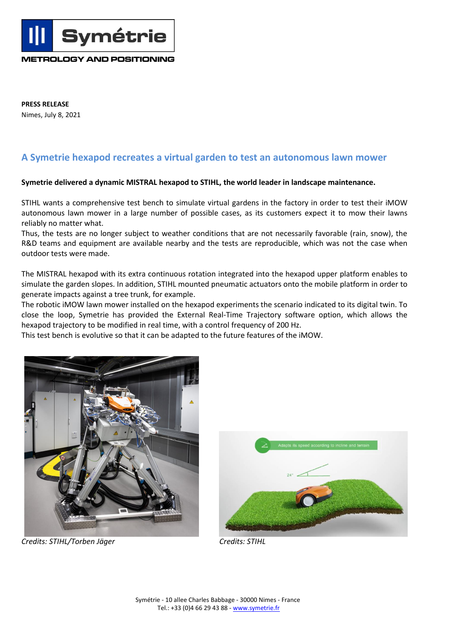**METROLOGY AND POSITIONING**

**Symétrie** 

**PRESS RELEASE** Nimes, July 8, 2021

## **A Symetrie hexapod recreates a virtual garden to test an autonomous lawn mower**

## **Symetrie delivered a dynamic MISTRAL hexapod to STIHL, the world leader in landscape maintenance.**

STIHL wants a comprehensive test bench to simulate virtual gardens in the factory in order to test their iMOW autonomous lawn mower in a large number of possible cases, as its customers expect it to mow their lawns reliably no matter what.

Thus, the tests are no longer subject to weather conditions that are not necessarily favorable (rain, snow), the R&D teams and equipment are available nearby and the tests are reproducible, which was not the case when outdoor tests were made.

The MISTRAL hexapod with its extra continuous rotation integrated into the hexapod upper platform enables to simulate the garden slopes. In addition, STIHL mounted pneumatic actuators onto the mobile platform in order to generate impacts against a tree trunk, for example.

The robotic iMOW lawn mower installed on the hexapod experiments the scenario indicated to its digital twin. To close the loop, Symetrie has provided the External Real-Time Trajectory software option, which allows the hexapod trajectory to be modified in real time, with a control frequency of 200 Hz.

This test bench is evolutive so that it can be adapted to the future features of the iMOW.



*Credits: STIHL/Torben Jäger Credits: STIHL*